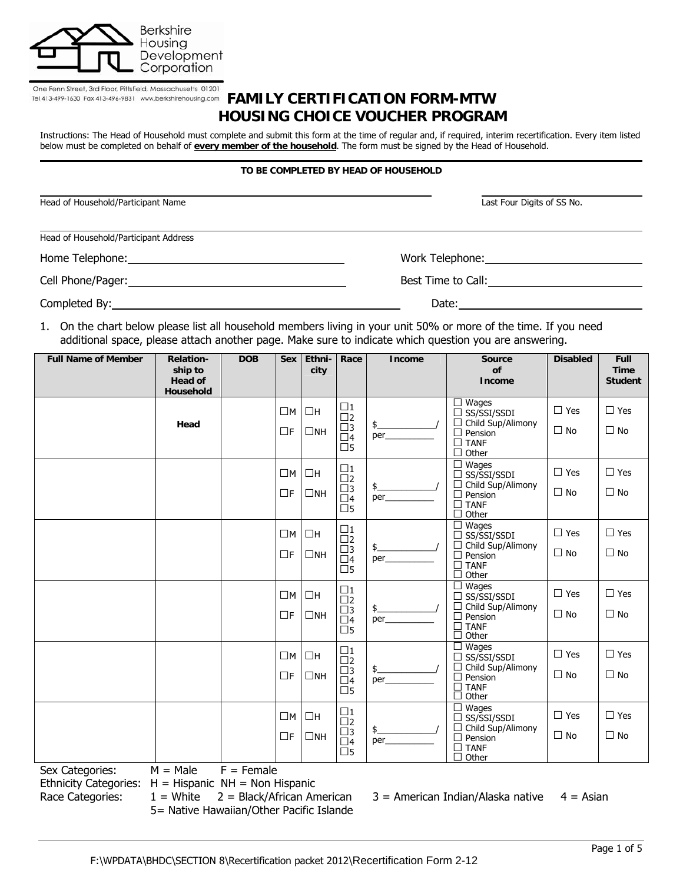

# One Fenn Street, 3rd Floor, Pittsfield, Massachusetts 01201<br>Tel 413-499-1630 Fax 413-496-9831 www.berkshirehousing.com **FAMILY CERTIFICATION FORM-MTW HOUSING CHOICE VOUCHER PROGRAM**

Instructions: The Head of Household must complete and submit this form at the time of regular and, if required, interim recertification. Every item listed below must be completed on behalf of **every member of the household**. The form must be signed by the Head of Household.

#### **TO BE COMPLETED BY HEAD OF HOUSEHOLD**

| Head of Household/Participant Name    | Last Four Digits of SS No.                                                                                                                                                                                                     |
|---------------------------------------|--------------------------------------------------------------------------------------------------------------------------------------------------------------------------------------------------------------------------------|
| Head of Household/Participant Address |                                                                                                                                                                                                                                |
|                                       | Work Telephone: The contract of the contract of the contract of the contract of the contract of the contract of the contract of the contract of the contract of the contract of the contract of the contract of the contract o |
|                                       | Best Time to Call:                                                                                                                                                                                                             |
|                                       | Date:                                                                                                                                                                                                                          |

1. On the chart below please list all household members living in your unit 50% or more of the time. If you need additional space, please attach another page. Make sure to indicate which question you are answering.

| <b>Full Name of Member</b>                                                                              | <b>Relation-</b><br>ship to<br><b>Head of</b><br><b>Household</b> | <b>DOB</b> | <b>Sex</b>  | Ethni-<br>city | Race                                                 | <b>Income</b>        | <b>Source</b><br>of<br><b>Income</b>                                       | <b>Disabled</b> | Full<br><b>Time</b><br><b>Student</b> |
|---------------------------------------------------------------------------------------------------------|-------------------------------------------------------------------|------------|-------------|----------------|------------------------------------------------------|----------------------|----------------------------------------------------------------------------|-----------------|---------------------------------------|
|                                                                                                         |                                                                   |            | $\square$ M | $\Box H$       | $\frac{\Box 1}{\Box 2}$                              |                      | $\Box$ Wages<br>$\Box$ SS/SSI/SSDI                                         | $\Box$ Yes      | $\Box$ Yes                            |
|                                                                                                         | Head                                                              |            | $\Box$ F    | $\Box$ NH      | $\square$ 3<br>$\square$ 4<br>$\square$ 5            | $\frac{1}{2}$<br>per | $\Box$ Child Sup/Alimony<br>$\Box$ Pension<br>$\Box$ TANF<br>$\Box$ Other  | $\Box$ No       | $\Box$ No                             |
|                                                                                                         |                                                                   |            | $\square$ M | $\Box H$       | $\square$ 1<br>$\square$                             |                      | $\Box$ Wages<br>$\Box$ SS/SSI/SSDI                                         | $\Box$ Yes      | $\Box$ Yes                            |
|                                                                                                         |                                                                   |            | $\Box$ F    | $\square$ NH   | $\square$ 3<br>$\square$ 4<br>$\overline{\Box}$ 5    | $\frac{1}{2}$<br>per | $\Box$ Child Sup/Alimony<br>$\Box$ Pension<br>$\Box$ TANF<br>$\Box$ Other  | $\Box$ No       | $\Box$ No                             |
|                                                                                                         |                                                                   |            | $\square$ M | $\Box H$       | $\square$ 1                                          |                      | $\Box$ Wages<br>$\Box$ SS/SSI/SSDI                                         | $\Box$ Yes      | $\Box$ Yes                            |
|                                                                                                         |                                                                   |            | $\Box F$    | $\Box$ NH      | $\frac{\square}{\square}$<br>$\Box$ 4<br>$\square$ 5 | $\frac{1}{2}$<br>per | $\Box$ Child Sup/Alimony<br>$\Box$ Pension<br>$\Box$ TANF<br>П<br>Other    | $\Box$ No       | $\Box$ No                             |
|                                                                                                         |                                                                   |            | $\square$ M | $\Box H$       | $\Box$ 1<br>$\square$                                |                      | $\Box$ Wages<br>$\Box$ SS/SSI/SSDI                                         | $\Box$ Yes      | $\Box$ Yes                            |
|                                                                                                         |                                                                   |            | $\Box$ F    | $\Box$ NH      | $\square$ 3<br>$\Box$ 4<br>$\overline{\Box}$ 5       | $\frac{1}{2}$<br>per | $\Box$ Child Sup/Alimony<br>$\Box$ Pension<br>$\Box$ TANF<br>Other<br>□    | $\Box$ No       | $\Box$ No                             |
|                                                                                                         |                                                                   |            | $\square$ M | $\Box H$       | $\square$ 1<br>$\square$                             |                      | $\overline{\Box}$ Wages<br>$\Box$ SS/SSI/SSDI                              | $\Box$ Yes      | $\Box$ Yes                            |
|                                                                                                         |                                                                   |            | $\Box$ F    | $\Box$ NH      | $\frac{\Box 3}{\Box 4}$<br>$\square$ 5               | $\frac{1}{2}$<br>per | $\Box$ Child Sup/Alimony<br>$\Box$ Pension<br>$\Box$ TANF<br>$\Box$ Other  | $\Box$ No       | $\Box$ No                             |
|                                                                                                         |                                                                   |            | $\square$ M | $\Box H$       | $\square$ 1<br>$\overline{\square}$                  |                      | $\Box$ Wages<br>$\Box$ SS/SSI/SSDI                                         | $\Box$ Yes      | $\Box$ Yes                            |
|                                                                                                         |                                                                   |            | $\Box$ F    | $\Box$ NH      | $\square$ 3<br>$\square$ 4<br>$\square$ 5            | $\frac{1}{2}$<br>per | $\Box$ Child Sup/Alimony<br>$\Box$ Pension<br>$\square$ TANF<br>□<br>Other | $\Box$ No       | $\Box$ No                             |
| $M = Male$<br>$F =$ Female<br>Sex Categories:<br>$Fthnicitiv Cthonciocu H = Hiononic NH = Non Hiononic$ |                                                                   |            |             |                |                                                      |                      |                                                                            |                 |                                       |

Ethnicity Categories: H = Hispanic NH = Non Hispanic

5= Native Hawaiian/Other Pacific Islande

Race Categories:  $1 =$  White  $2 =$  Black/African American  $3 =$  American Indian/Alaska native  $4 =$  Asian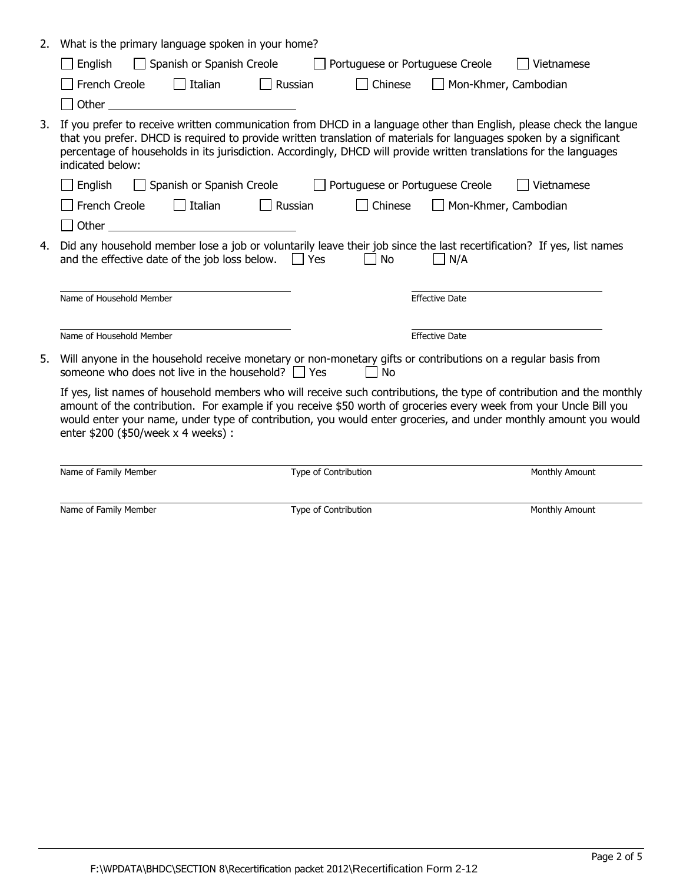| What is the primary language spoken in your home?<br>2.                                                                                                                                                                                                                                                                                                                                                |                       |
|--------------------------------------------------------------------------------------------------------------------------------------------------------------------------------------------------------------------------------------------------------------------------------------------------------------------------------------------------------------------------------------------------------|-----------------------|
| Spanish or Spanish Creole<br>Portuguese or Portuguese Creole<br>English                                                                                                                                                                                                                                                                                                                                | Vietnamese            |
| $\Box$ Italian<br>French Creole<br>Russian<br>Chinese<br>$\mathbf{I}$                                                                                                                                                                                                                                                                                                                                  | Mon-Khmer, Cambodian  |
| Other<br><u> 1980 - Jan Stein Harry Harry Harry Harry Harry Harry Harry Harry Harry Harry Harry Harry Harry Harry Harry</u>                                                                                                                                                                                                                                                                            |                       |
| If you prefer to receive written communication from DHCD in a language other than English, please check the langue<br>3.<br>that you prefer. DHCD is required to provide written translation of materials for languages spoken by a significant<br>percentage of households in its jurisdiction. Accordingly, DHCD will provide written translations for the languages<br>indicated below:             |                       |
| English<br>Spanish or Spanish Creole<br>Portuguese or Portuguese Creole                                                                                                                                                                                                                                                                                                                                | Vietnamese            |
| $\Box$ Italian<br>French Creole<br>Russian<br>Chinese                                                                                                                                                                                                                                                                                                                                                  | Mon-Khmer, Cambodian  |
| Other                                                                                                                                                                                                                                                                                                                                                                                                  |                       |
| Did any household member lose a job or voluntarily leave their job since the last recertification? If yes, list names<br>4.<br>and the effective date of the job loss below. $\Box$ Yes<br><b>No</b>                                                                                                                                                                                                   | N/A                   |
| Name of Household Member                                                                                                                                                                                                                                                                                                                                                                               | <b>Effective Date</b> |
| Name of Household Member                                                                                                                                                                                                                                                                                                                                                                               | <b>Effective Date</b> |
| Will anyone in the household receive monetary or non-monetary gifts or contributions on a regular basis from<br>5.<br>someone who does not live in the household? $\Box$ Yes<br>N <sub>0</sub>                                                                                                                                                                                                         |                       |
| If yes, list names of household members who will receive such contributions, the type of contribution and the monthly<br>amount of the contribution. For example if you receive \$50 worth of groceries every week from your Uncle Bill you<br>would enter your name, under type of contribution, you would enter groceries, and under monthly amount you would<br>enter \$200 (\$50/week x 4 weeks) : |                       |
| Type of Contribution<br>Name of Family Member                                                                                                                                                                                                                                                                                                                                                          | Monthly Amount        |

Name of Family Member Type of Contribution Monthly Amount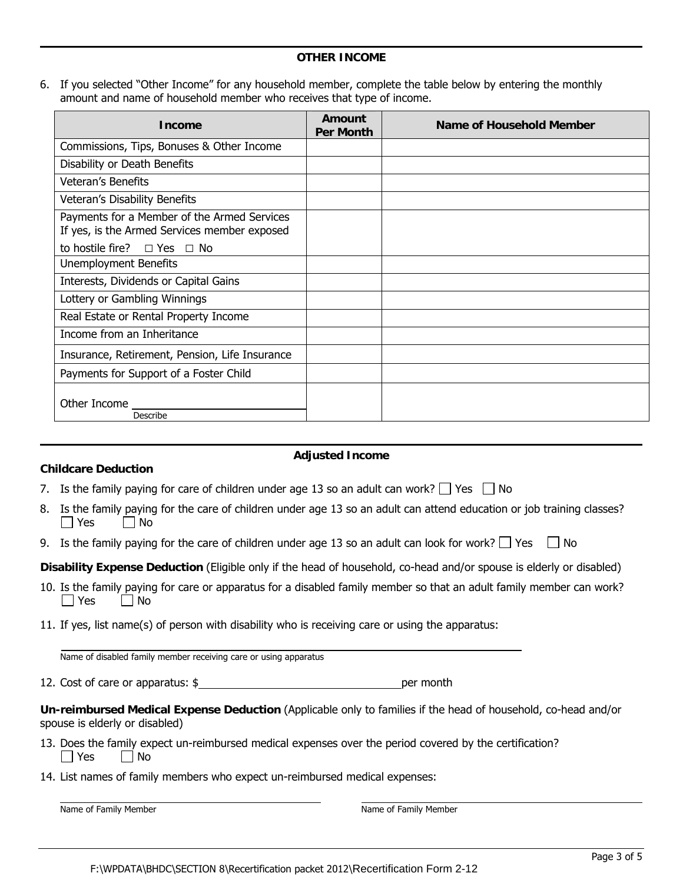6. If you selected "Other Income" for any household member, complete the table below by entering the monthly amount and name of household member who receives that type of income.

| <b>Income</b>                                                                               | Amount<br><b>Per Month</b> | <b>Name of Household Member</b> |
|---------------------------------------------------------------------------------------------|----------------------------|---------------------------------|
| Commissions, Tips, Bonuses & Other Income                                                   |                            |                                 |
| Disability or Death Benefits                                                                |                            |                                 |
| <b>Veteran's Benefits</b>                                                                   |                            |                                 |
| Veteran's Disability Benefits                                                               |                            |                                 |
| Payments for a Member of the Armed Services<br>If yes, is the Armed Services member exposed |                            |                                 |
| to hostile fire? $\Box$ Yes $\Box$ No                                                       |                            |                                 |
| <b>Unemployment Benefits</b>                                                                |                            |                                 |
| Interests, Dividends or Capital Gains                                                       |                            |                                 |
| Lottery or Gambling Winnings                                                                |                            |                                 |
| Real Estate or Rental Property Income                                                       |                            |                                 |
| Income from an Inheritance                                                                  |                            |                                 |
| Insurance, Retirement, Pension, Life Insurance                                              |                            |                                 |
| Payments for Support of a Foster Child                                                      |                            |                                 |
| Other Income ____<br>Describe                                                               |                            |                                 |

# **Adjusted Income**

|  |  | 7. Is the family paying for care of children under age 13 so an adult can work? $\Box$ Yes $\Box$ No |  |  |
|--|--|------------------------------------------------------------------------------------------------------|--|--|
|  |  |                                                                                                      |  |  |

- 8. Is the family paying for the care of children under age 13 so an adult can attend education or job training classes?  $\Box$  Yes  $\Box$  No
- 9. Is the family paying for the care of children under age 13 so an adult can look for work?  $\Box$  Yes  $\Box$  No

**Disability Expense Deduction** (Eligible only if the head of household, co-head and/or spouse is elderly or disabled)

- 10. Is the family paying for care or apparatus for a disabled family member so that an adult family member can work?  $\Box$  Yes  $\Box$  No
- 11. If yes, list name(s) of person with disability who is receiving care or using the apparatus:

Name of disabled family member receiving care or using apparatus

12. Cost of care or apparatus: \$

**Un-reimbursed Medical Expense Deduction** (Applicable only to families if the head of household, co-head and/or spouse is elderly or disabled)

- 13. Does the family expect un-reimbursed medical expenses over the period covered by the certification?  $\Box$  Yes  $\Box$  No
- 14. List names of family members who expect un-reimbursed medical expenses:

Name of Family Member Name of Family Member Name of Family Member

**Childcare Deduction**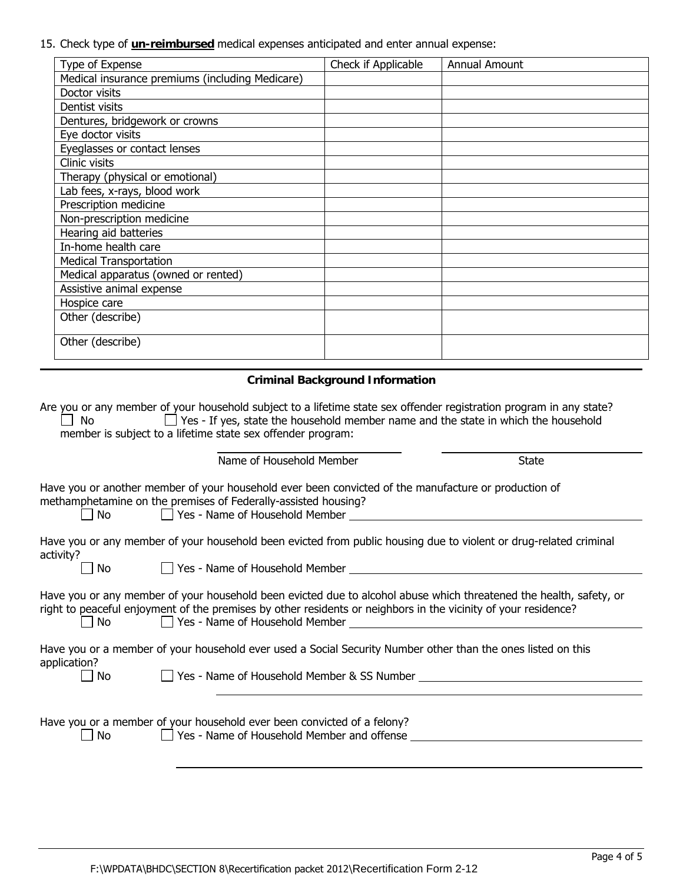15. Check type of **un-reimbursed** medical expenses anticipated and enter annual expense:

| Type of Expense                                 | Check if Applicable | <b>Annual Amount</b> |
|-------------------------------------------------|---------------------|----------------------|
| Medical insurance premiums (including Medicare) |                     |                      |
| Doctor visits                                   |                     |                      |
| Dentist visits                                  |                     |                      |
| Dentures, bridgework or crowns                  |                     |                      |
| Eye doctor visits                               |                     |                      |
| Eyeglasses or contact lenses                    |                     |                      |
| Clinic visits                                   |                     |                      |
| Therapy (physical or emotional)                 |                     |                      |
| Lab fees, x-rays, blood work                    |                     |                      |
| Prescription medicine                           |                     |                      |
| Non-prescription medicine                       |                     |                      |
| Hearing aid batteries                           |                     |                      |
| In-home health care                             |                     |                      |
| <b>Medical Transportation</b>                   |                     |                      |
| Medical apparatus (owned or rented)             |                     |                      |
| Assistive animal expense                        |                     |                      |
| Hospice care                                    |                     |                      |
| Other (describe)                                |                     |                      |
| Other (describe)                                |                     |                      |

## **Criminal Background Information**

|        | Are you or any member of your household subject to a lifetime state sex offender registration program in any state? |  |
|--------|---------------------------------------------------------------------------------------------------------------------|--|
| l I No | $\Box$ Yes - If yes, state the household member name and the state in which the household                           |  |
|        | member is subject to a lifetime state sex offender program:                                                         |  |

| Name of Household Member | State |
|--------------------------|-------|
|--------------------------|-------|

Have you or another member of your household ever been convicted of the manufacture or production of methamphetamine on the premises of Federally-assisted housing?

□ No <br>□ Yes - Name of Household Member

Have you or any member of your household been evicted from public housing due to violent or drug-related criminal activity?

No Yes - Name of Household Member

| Have you or any member of your household been evicted due to alcohol abuse which threatened the health, safety, or |  |
|--------------------------------------------------------------------------------------------------------------------|--|
| right to peaceful enjoyment of the premises by other residents or neighbors in the vicinity of your residence?     |  |
| $\Box$ Yes - Name of Household Member<br>$\blacksquare$ No                                                         |  |

Have you or a member of your household ever used a Social Security Number other than the ones listed on this application?  $\Box$  No  $\Box$  Yes - Name of Household Member & SS Number

Have you or a member of your household ever been convicted of a felony?

No  $\Box$  Yes - Name of Household Member and offense